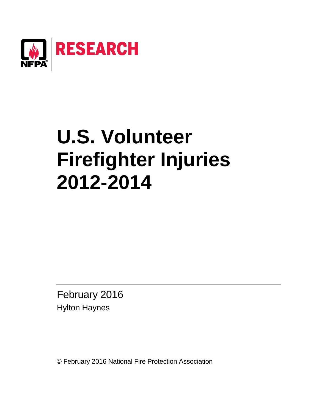

# **U.S. Volunteer Firefighter Injuries 2012-2014**

February 2016 Hylton Haynes

© February 2016 National Fire Protection Association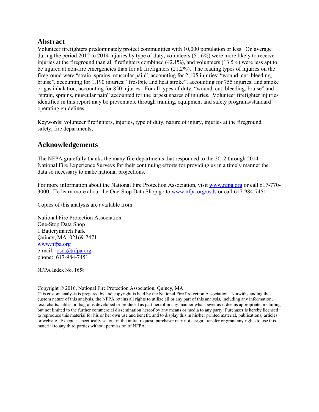## **Abstract**

Volunteer firefighters predominately protect communities with 10,000 population or less. On average during the period 2012 to 2014 injuries by type of duty, volunteers (51.6%) were more likely to receive injuries at the fireground than all firefighters combined (42.1%), and volunteers (13.5%) were less apt to be injured at non-fire emergencies than for all firefighters (21.2%). The leading types of injuries on the fireground were "strain, sprains, muscular pain", accounting for 2,105 injuries; "wound, cut, bleeding, bruise", accounting for 1,190 injuries; "frostbite and heat stroke", accounting for 755 injuries; and smoke or gas inhalation, accounting for 850 injuries. For all types of duty, "wound, cut, bleeding, bruise" and "strain, sprains, muscular pain" accounted for the largest shares of injuries. Volunteer firefighter injuries identified in this report may be preventable through training, equipment and safety programs/standard operating guidelines.

Keywords: volunteer firefighters, injuries, type of duty, nature of injury, injuries at the fireground, safety, fire departments,

## **Acknowledgements**

The NFPA gratefully thanks the many fire departments that responded to the 2012 through 2014 National Fire Experience Surveys for their continuing efforts for providing us in a timely manner the data so necessary to make national projections.

For more information about the National Fire Protection Association, visit [www.nfpa.org](http://www.nfpa.org/) or call 617-770- 3000. To learn more about the One-Stop Data Shop go to [www.nfpa.org/osds](http://www.nfpa.org/osds) or call 617-984-7451.

Copies of this analysis are available from:

National Fire Protection Association One-Stop Data Shop 1 Batterymarch Park Quincy, MA 02169-7471 [www.nfpa.org](http://www.nfpa.org/) e-mail: [osds@nfpa.org](mailto:osds@nfpa.org) phone: 617-984-7451

NFPA Index No. 1658

Copyright © 2016, National Fire Protection Association, Quincy, MA

This custom analysis is prepared by and copyright is held by the National Fire Protection Association. Notwithstanding the custom nature of this analysis, the NFPA retains all rights to utilize all or any part of this analysis, including any information, text, charts, tables or diagrams developed or produced as part hereof in any manner whatsoever as it deems appropriate, including but not limited to the further commercial dissemination hereof by any means or media to any party. Purchaser is hereby licensed to reproduce this material for his or her own use and benefit, and to display this in his/her printed material, publications, articles or website. Except as specifically set out in the initial request, purchaser may not assign, transfer or grant any rights to use this material to any third parties without permission of NFPA.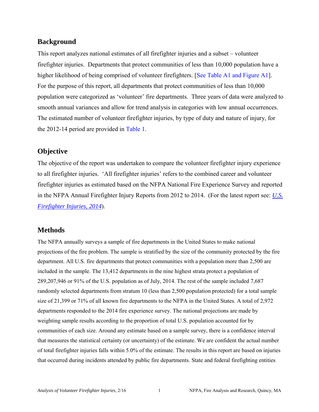## **Background**

This report analyzes national estimates of all firefighter injuries and a subset – volunteer firefighter injuries. Departments that protect communities of less than 10,000 population have a higher likelihood of being comprised of volunteer firefighters. [See Table A1 and Figure A1]. For the purpose of this report, all departments that protect communities of less than 10,000 population were categorized as 'volunteer' fire departments. Three years of data were analyzed to smooth annual variances and allow for trend analysis in categories with low annual occurrences. The estimated number of volunteer firefighter injuries, by type of duty and nature of injury, for the 2012-14 period are provided in [Table 1.](#page-6-0)

## **Objective**

The objective of the report was undertaken to compare the volunteer firefighter injury experience to all firefighter injuries. 'All firefighter injuries' refers to the combined career and volunteer firefighter injuries as estimated based on the NFPA National Fire Experience Survey and reported in the NFPA Annual Firefighter Injury Reports from 2012 to 2014. (For the latest report see: *[U.S.](http://www.nfpa.org/research/reports-and-statistics/the-fire-service/fatalities-and-injuries/firefighter-injuries-in-the-united-states)  [Firefighter Injuries, 2014](http://www.nfpa.org/research/reports-and-statistics/the-fire-service/fatalities-and-injuries/firefighter-injuries-in-the-united-states)*).

## **Methods**

The NFPA annually surveys a sample of fire departments in the United States to make national projections of the fire problem. The sample is stratified by the size of the community protected by the fire department. All U.S. fire departments that protect communities with a population more than 2,500 are included in the sample. The 13,412 departments in the nine highest strata protect a population of 289,207,946 or 91% of the U.S. population as of July, 2014. The rest of the sample included 7,687 randomly selected departments from stratum 10 (less than 2,500 population protected) for a total sample size of 21,399 or 71% of all known fire departments to the NFPA in the United States. A total of 2,972 departments responded to the 2014 fire experience survey. The national projections are made by weighting sample results according to the proportion of total U.S. population accounted for by communities of each size. Around any estimate based on a sample survey, there is a confidence interval that measures the statistical certainty (or uncertainty) of the estimate. We are confident the actual number of total firefighter injuries falls within 5.0% of the estimate. The results in this report are based on injuries that occurred during incidents attended by public fire departments. State and federal firefighting entities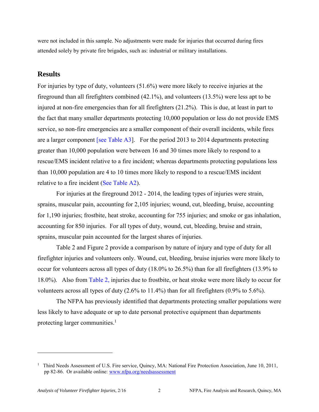were not included in this sample. No adjustments were made for injuries that occurred during fires attended solely by private fire brigades, such as: industrial or military installations.

### **Results**

For injuries by type of duty, volunteers (51.6%) were more likely to receive injuries at the fireground than all firefighters combined (42.1%), and volunteers (13.5%) were less apt to be injured at non-fire emergencies than for all firefighters (21.2%). This is due, at least in part to the fact that many smaller departments protecting 10,000 population or less do not provide EMS service, so non-fire emergencies are a smaller component of their overall incidents, while fires are a larger component [\[see Table A3\].](#page-14-0) For the period 2013 to 2014 departments protecting greater than 10,000 population were between 16 and 30 times more likely to respond to a rescue/EMS incident relative to a fire incident; whereas departments protecting populations less than 10,000 population are 4 to 10 times more likely to respond to a rescue/EMS incident relative to a fire incident (See Table A2).

For injuries at the fireground 2012 - 2014, the leading types of injuries were strain, sprains, muscular pain, accounting for 2,105 injuries; wound, cut, bleeding, bruise, accounting for 1,190 injuries; frostbite, heat stroke, accounting for 755 injuries; and smoke or gas inhalation, accounting for 850 injuries. For all types of duty, wound, cut, bleeding, bruise and strain, sprains, muscular pain accounted for the largest shares of injuries.

 [Table 2 and Figure 2](#page-7-0) provide a comparison by nature of injury and type of duty for all firefighter injuries and volunteers only. Wound, cut, bleeding, bruise injuries were more likely to occur for volunteers across all types of duty (18.0% to 26.5%) than for all firefighters (13.9% to 18.0%). Also from [Table 2,](#page-7-0) injuries due to frostbite, or heat stroke were more likely to occur for volunteers across all types of duty (2.6% to 11.4%) than for all firefighters (0.9% to 5.6%).

The NFPA has previously identified that departments protecting smaller populations were less likely to have adequate or up to date personal protective equipment than departments protecting larger communities.<sup>1</sup>

l

<sup>&</sup>lt;sup>1</sup> Third Needs Assessment of U.S. Fire service, Quincy, MA: National Fire Protection Association, June 10, 2011, pp 82-86. Or available online[: www.nfpa.org/needsassessment](http://www.nfpa.org/needsassessment)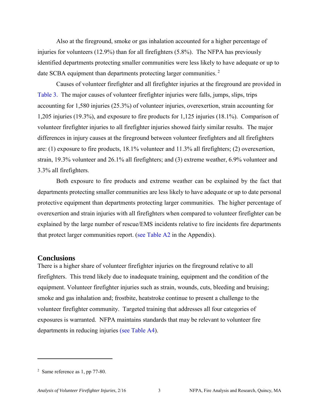Also at the fireground, smoke or gas inhalation accounted for a higher percentage of injuries for volunteers (12.9%) than for all firefighters (5.8%). The NFPA has previously identified departments protecting smaller communities were less likely to have adequate or up to date SCBA equipment than departments protecting larger communities.<sup>2</sup>

Causes of volunteer firefighter and all firefighter injuries at the fireground are provided in [Table 3.](#page-8-0) The major causes of volunteer firefighter injuries were falls, jumps, slips, trips accounting for 1,580 injuries (25.3%) of volunteer injuries, overexertion, strain accounting for 1,205 injuries (19.3%), and exposure to fire products for 1,125 injuries (18.1%). Comparison of volunteer firefighter injuries to all firefighter injuries showed fairly similar results. The major differences in injury causes at the fireground between volunteer firefighters and all firefighters are: (1) exposure to fire products, 18.1% volunteer and 11.3% all firefighters; (2) overexertion, strain, 19.3% volunteer and 26.1% all firefighters; and (3) extreme weather, 6.9% volunteer and 3.3% all firefighters.

Both exposure to fire products and extreme weather can be explained by the fact that departments protecting smaller communities are less likely to have adequate or up to date personal protective equipment than departments protecting larger communities. The higher percentage of overexertion and strain injuries with all firefighters when compared to volunteer firefighter can be explained by the large number of rescue/EMS incidents relative to fire incidents fire departments that protect larger communities report. (se[e Table A2 i](#page-13-0)n the Appendix).

#### **Conclusions**

There is a higher share of volunteer firefighter injuries on the fireground relative to all firefighters. This trend likely due to inadequate training, equipment and the condition of the equipment. Volunteer firefighter injuries such as strain, wounds, cuts, bleeding and bruising; smoke and gas inhalation and; frostbite, heatstroke continue to present a challenge to the volunteer firefighter community. Targeted training that addresses all four categories of exposures is warranted. NFPA maintains standards that may be relevant to volunteer fire departments in reducing injuries ([see Table A4\).](#page-15-0)

 $\overline{\phantom{a}}$ 

<sup>&</sup>lt;sup>2</sup> Same reference as 1, pp 77-80.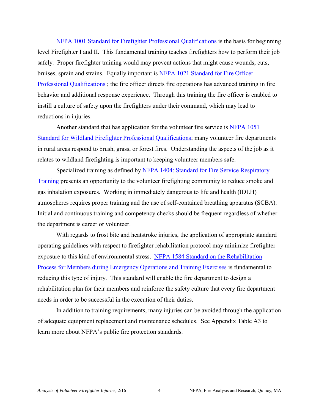[NFPA 1001 Standard for Firefighter Professional Qualifications](http://www.nfpa.org/codes-and-standards/document-information-pages?mode=code&code=1001) is the basis for beginning level Firefighter I and II. This fundamental training teaches firefighters how to perform their job safely. Proper firefighter training would may prevent actions that might cause wounds, cuts, bruises, sprain and strains. Equally important is [NFPA 1021 Standard for Fire Officer](http://www.nfpa.org/codes-and-standards/document-information-pages?mode=code&code=1021)  [Professional Qualifications](http://www.nfpa.org/codes-and-standards/document-information-pages?mode=code&code=1021) ; the fire officer directs fire operations has advanced training in fire behavior and additional response experience. Through this training the fire officer is enabled to instill a culture of safety upon the firefighters under their command, which may lead to reductions in injuries.

 Another standard that has application for the volunteer fire service is [NFPA 1051](http://www.nfpa.org/codes-and-standards/document-information-pages?mode=code&code=1051)  [Standard for Wildland Firefighter Professional Qualifications;](http://www.nfpa.org/codes-and-standards/document-information-pages?mode=code&code=1051) many volunteer fire departments in rural areas respond to brush, grass, or forest fires. Understanding the aspects of the job as it relates to wildland firefighting is important to keeping volunteer members safe.

Specialized training as defined by NFPA 1404: Standard for Fire Service Respiratory [Training](http://www.nfpa.org/codes-and-standards/document-information-pages?mode=code&code=1404) presents an opportunity to the volunteer firefighting community to reduce smoke and gas inhalation exposures. Working in immediately dangerous to life and health (IDLH) atmospheres requires proper training and the use of self-contained breathing apparatus (SCBA). Initial and continuous training and competency checks should be frequent regardless of whether the department is career or volunteer.

 With regards to frost bite and heatstroke injuries, the application of appropriate standard operating guidelines with respect to firefighter rehabilitation protocol may minimize firefighter exposure to this kind of environmental stress. [NFPA 1584 Standard on the Rehabilitation](http://www.nfpa.org/codes-and-standards/document-information-pages?mode=code&code=1584)  [Process for Members during Emergency Operations and Training Exercises](http://www.nfpa.org/codes-and-standards/document-information-pages?mode=code&code=1584) is fundamental to reducing this type of injury. This standard will enable the fire department to design a rehabilitation plan for their members and reinforce the safety culture that every fire department needs in order to be successful in the execution of their duties.

 In addition to training requirements, many injuries can be avoided through the application of adequate equipment replacement and maintenance schedules. See Appendix [Table A3 t](#page-14-0)o learn more about NFPA's public fire protection standards.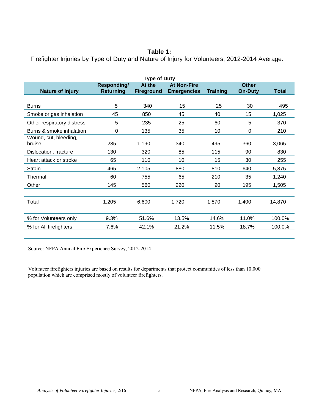#### **Table 1:**

<span id="page-6-0"></span>Firefighter Injuries by Type of Duty and Nature of Injury for Volunteers, 2012-2014 Average.

| <b>Type of Duty</b>             |                                 |                             |                                          |                 |                                |              |  |  |
|---------------------------------|---------------------------------|-----------------------------|------------------------------------------|-----------------|--------------------------------|--------------|--|--|
| <b>Nature of Injury</b>         | Responding/<br><b>Returning</b> | At the<br><b>Fireground</b> | <b>At Non-Fire</b><br><b>Emergencies</b> | <b>Training</b> | <b>Other</b><br><b>On-Duty</b> | <b>Total</b> |  |  |
|                                 |                                 |                             |                                          |                 |                                |              |  |  |
| <b>Burns</b>                    | 5                               | 340                         | 15                                       | 25              | 30                             | 495          |  |  |
| Smoke or gas inhalation         | 45                              | 850                         | 45                                       | 40              | 15                             | 1,025        |  |  |
| Other respiratory distress      | 5                               | 235                         | 25                                       | 60              | 5                              | 370          |  |  |
| Burns & smoke inhalation        | $\Omega$                        | 135                         | 35                                       | 10              | 0                              | 210          |  |  |
| Wound, cut, bleeding,<br>bruise | 285                             | 1,190                       | 340                                      | 495             | 360                            | 3,065        |  |  |
| Dislocation, fracture           | 130                             | 320                         | 85                                       | 115             | 90                             | 830          |  |  |
| Heart attack or stroke          | 65                              | 110                         | 10                                       | 15              | 30                             | 255          |  |  |
| Strain                          | 465                             | 2,105                       | 880                                      | 810             | 640                            | 5,875        |  |  |
| Thermal                         | 60                              | 755                         | 65                                       | 210             | 35                             | 1,240        |  |  |
| Other                           | 145                             | 560                         | 220                                      | 90              | 195                            | 1,505        |  |  |
|                                 |                                 |                             |                                          |                 |                                |              |  |  |
| Total                           | 1,205                           | 6,600                       | 1,720                                    | 1,870           | 1,400                          | 14,870       |  |  |
|                                 |                                 |                             |                                          |                 |                                |              |  |  |
| % for Volunteers only           | 9.3%                            | 51.6%                       | 13.5%                                    | 14.6%           | 11.0%                          | 100.0%       |  |  |
| % for All firefighters          | 7.6%                            | 42.1%                       | 21.2%                                    | 11.5%           | 18.7%                          | 100.0%       |  |  |
|                                 |                                 |                             |                                          |                 |                                |              |  |  |

Source: NFPA Annual Fire Experience Survey, 2012-2014

Volunteer firefighters injuries are based on results for departments that protect communities of less than 10,000 population which are comprised mostly of volunteer firefighters.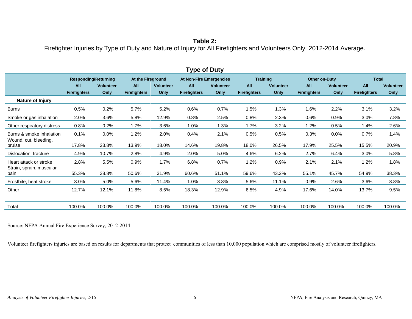## <span id="page-7-0"></span>**Table 2:**  Firefighter Injuries by Type of Duty and Nature of Injury for All Firefighters and Volunteers Only, 2012-2014 Average.

| l ype of Duty       |                  |                             |                  |                     |                  |                                |                  |                     |                      |                     |                  |
|---------------------|------------------|-----------------------------|------------------|---------------------|------------------|--------------------------------|------------------|---------------------|----------------------|---------------------|------------------|
|                     |                  |                             |                  |                     |                  |                                | <b>Training</b>  |                     | <b>Other on-Duty</b> |                     |                  |
| All                 | <b>Volunteer</b> | All                         | <b>Volunteer</b> | <b>All</b>          | <b>Volunteer</b> | All                            | <b>Volunteer</b> | <b>All</b>          | <b>Volunteer</b>     | All                 | <b>Volunteer</b> |
| <b>Firefighters</b> | Only             | <b>Firefighters</b>         | Only             | <b>Firefighters</b> | Only             | <b>Firefighters</b>            | Only             | <b>Firefighters</b> | Only                 | <b>Firefighters</b> | Only             |
|                     |                  |                             |                  |                     |                  |                                |                  |                     |                      |                     |                  |
| 0.5%                | 0.2%             | 5.7%                        | 5.2%             | 0.6%                | 0.7%             | 1.5%                           | 1.3%             | 1.6%                | 2.2%                 | 3.1%                | 3.2%             |
| 2.0%                | 3.6%             | 5.8%                        | 12.9%            | 0.8%                | 2.5%             | 0.8%                           | 2.3%             | 0.6%                | 0.9%                 | 3.0%                | 7.8%             |
| 0.8%                | 0.2%             | 1.7%                        | 3.6%             | 1.0%                | 1.3%             | 1.7%                           | 3.2%             | 1.2%                | 0.5%                 | 1.4%                | 2.6%             |
| 0.1%                | $0.0\%$          | 1.2%                        | 2.0%             | 0.4%                | 2.1%             | 0.5%                           | 0.5%             | 0.3%                | $0.0\%$              | 0.7%                | 1.4%             |
| 17.8%               | 23.8%            | 13.9%                       | 18.0%            | 14.6%               | 19.8%            | 18.0%                          | 26.5%            | 17.9%               | 25.5%                | 15.5%               | 20.9%            |
| 4.9%                | 10.7%            | 2.8%                        | 4.9%             | 2.0%                | 5.0%             | 4.6%                           | 6.2%             | 2.7%                | 6.4%                 | 3.0%                | 5.8%             |
| 2.8%                | 5.5%             | 0.9%                        | 1.7%             | 6.8%                | 0.7%             | 1.2%                           | 0.9%             | 2.1%                | 2.1%                 | 1.2%                | 1.8%             |
| 55.3%               | 38.8%            | 50.6%                       | 31.9%            | 60.6%               | 51.1%            | 59.6%                          | 43.2%            | 55.1%               | 45.7%                | 54.9%               | 38.3%            |
| 3.0%                | 5.0%             | 5.6%                        | 11.4%            | 1.0%                | 3.8%             | 5.6%                           | 11.1%            | 0.9%                | 2.6%                 | 3.6%                | 8.8%             |
| 12.7%               | 12.1%            | 11.8%                       | 8.5%             | 18.3%               | 12.9%            | 6.5%                           | 4.9%             | 17.6%               | 14.0%                | 13.7%               | 9.5%             |
|                     |                  |                             |                  |                     |                  |                                |                  |                     |                      |                     |                  |
| 100.0%              | 100.0%           | 100.0%                      | 100.0%           | 100.0%              | 100.0%           | 100.0%                         | 100.0%           | 100.0%              | 100.0%               | 100.0%              | 100.0%           |
|                     |                  | <b>Responding/Returning</b> |                  | At the Fireground   |                  | <b>At Non-Fire Emergencies</b> |                  |                     |                      |                     | <b>Total</b>     |

**Type of Duty** 

Source: NFPA Annual Fire Experience Survey, 2012-2014

Volunteer firefighters injuries are based on results for departments that protect communities of less than 10,000 population which are comprised mostly of volunteer firefighters.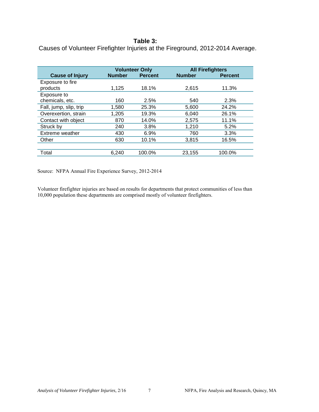#### **Table 3:**

<span id="page-8-0"></span>Causes of Volunteer Firefighter Injuries at the Fireground, 2012-2014 Average.

|                        | <b>Volunteer Only</b> |                | <b>All Firefighters</b> |                |
|------------------------|-----------------------|----------------|-------------------------|----------------|
| <b>Cause of Injury</b> | <b>Number</b>         | <b>Percent</b> | <b>Number</b>           | <b>Percent</b> |
| Exposure to fire       |                       |                |                         |                |
| products               | 1,125                 | 18.1%          | 2,615                   | 11.3%          |
| Exposure to            |                       |                |                         |                |
| chemicals, etc.        | 160                   | 2.5%           | 540                     | 2.3%           |
| Fall, jump, slip, trip | 1,580                 | 25.3%          | 5,600                   | 24.2%          |
| Overexertion, strain   | 1,205                 | 19.3%          | 6,040                   | 26.1%          |
| Contact with object    | 870                   | 14.0%          | 2,575                   | 11.1%          |
| Struck by              | 240                   | 3.8%           | 1,210                   | 5.2%           |
| Extreme weather        | 430                   | 6.9%           | 760                     | 3.3%           |
| Other                  | 630                   | 10.1%          | 3,815                   | 16.5%          |
|                        |                       |                |                         |                |
| Total                  | 6,240                 | 100.0%         | 23,155                  | 100.0%         |

Source: NFPA Annual Fire Experience Survey, 2012-2014

Volunteer firefighter injuries are based on results for departments that protect communities of less than 10,000 population these departments are comprised mostly of volunteer firefighters.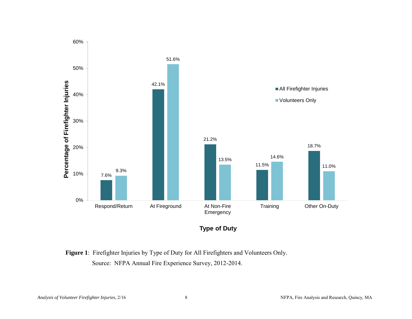

Figure 1: Firefighter Injuries by Type of Duty for All Firefighters and Volunteers Only.

Source: NFPA Annual Fire Experience Survey, 2012-2014.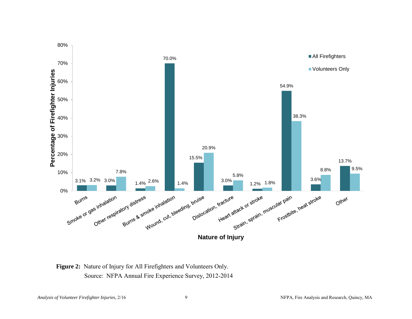

**Figure 2:** Nature of Injury for All Firefighters and Volunteers Only. Source: NFPA Annual Fire Experience Survey, 2012-2014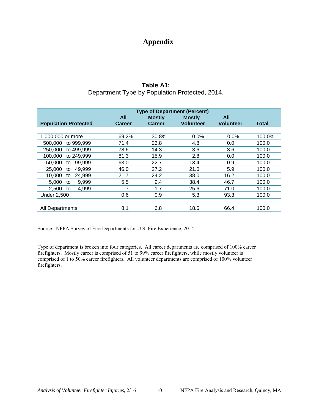## **Appendix**

## **Table A1:**  Department Type by Population Protected, 2014.

<span id="page-11-0"></span>

|                             | <b>Type of Department (Percent)</b> |               |                                   |                  |              |  |  |  |
|-----------------------------|-------------------------------------|---------------|-----------------------------------|------------------|--------------|--|--|--|
|                             | <b>All</b>                          | <b>Mostly</b> | <b>Mostly</b><br><b>Volunteer</b> | All              |              |  |  |  |
| <b>Population Protected</b> | <b>Career</b>                       | Career        |                                   | <b>Volunteer</b> | <b>Total</b> |  |  |  |
|                             |                                     |               |                                   |                  |              |  |  |  |
| 1,000,000 or more           | 69.2%                               | 30.8%         | $0.0\%$                           | 0.0%             | 100.0%       |  |  |  |
| 500,000<br>to 999,999       | 71.4                                | 23.8          | 4.8                               | 0.0              | 100.0        |  |  |  |
| to 499,999<br>250,000       | 78.6                                | 14.3          | 3.6                               | 3.6              | 100.0        |  |  |  |
| 100,000<br>to 249,999       | 81.3                                | 15.9          | 2.8                               | 0.0              | 100.0        |  |  |  |
| 50,000<br>99,999<br>to      | 63.0                                | 22.7          | 13.4                              | 0.9              | 100.0        |  |  |  |
| 25,000<br>49,999<br>to      | 46.0                                | 27.2          | 21.0                              | 5.9              | 100.0        |  |  |  |
| 10,000<br>24.999<br>to      | 21.7                                | 24.2          | 38.0                              | 16.2             | 100.0        |  |  |  |
| 5,000<br>9,999<br>to        | 5.5                                 | 9.4           | 38.4                              | 46.7             | 100.0        |  |  |  |
| 2,500<br>4,999<br>to        | 1.7                                 | 1.7           | 25.6                              | 71.0             | 100.0        |  |  |  |
| <b>Under 2.500</b>          | 0.6                                 | 0.9           | 5.3                               | 93.3             | 100.0        |  |  |  |
|                             |                                     |               |                                   |                  |              |  |  |  |
| All Departments             | 8.1                                 | 6.8           | 18.6                              | 66.4             | 100.0        |  |  |  |

Source: NFPA Survey of Fire Departments for U.S. Fire Experience, 2014.

Type of department is broken into four categories. All career departments are comprised of 100% career firefighters. Mostly career is comprised of 51 to 99% career firefighters, while mostly volunteer is comprised of 1 to 50% career firefighters. All volunteer departments are comprised of 100% volunteer firefighters.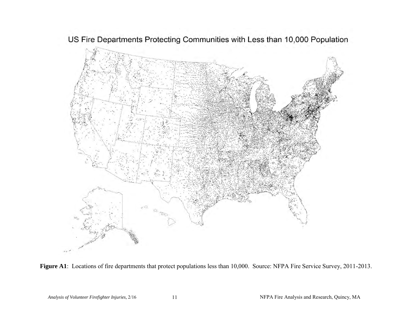



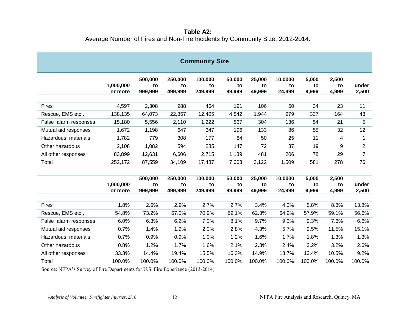**Table A2:**  Average Number of Fires and Non-Fire Incidents by Community Size, 2012-2014.

<span id="page-13-0"></span>

| <b>Community Size</b> |                      |                          |                          |                          |                        |                        |                         |                      |                      |                |
|-----------------------|----------------------|--------------------------|--------------------------|--------------------------|------------------------|------------------------|-------------------------|----------------------|----------------------|----------------|
|                       | 1,000,000<br>or more | 500,000<br>to<br>999,999 | 250,000<br>to<br>499,999 | 100,000<br>to<br>249,999 | 50,000<br>to<br>99,999 | 25,000<br>to<br>49,999 | 10,0000<br>to<br>24,999 | 5,000<br>to<br>9,999 | 2,500<br>to<br>4,999 | under<br>2,500 |
| Fires                 | 4,597                | 2,308                    | 988                      | 464                      | 191                    | 106                    | 60                      | 34                   | 23                   | 11             |
| Rescue, EMS etc.,     | 138,135              | 64,073                   | 22,857                   | 12,405                   | 4,842                  | 1,944                  | 979                     | 337                  | 164                  | 43             |
| False alarm responses | 15,180               | 5,556                    | 2,110                    | 1,222                    | 567                    | 304                    | 136                     | 54                   | 21                   | 5              |
| Mutual aid responses  | 1,672                | 1,198                    | 647                      | 347                      | 196                    | 133                    | 86                      | 55                   | 32                   | 12             |
| Hazardous materials   | 1,782                | 779                      | 308                      | 177                      | 84                     | 50                     | 25                      | 11                   | 4                    | $\mathbf{1}$   |
| Other hazardous       | 2,108                | 1,082                    | 594                      | 285                      | 147                    | 72                     | 37                      | 19                   | 9                    | $\overline{2}$ |
| All other responses   | 83,899               | 12,631                   | 6,606                    | 2,715                    | 1,139                  | 481                    | 206                     | 78                   | 29                   | $\overline{7}$ |
| Total                 | 252,172              | 87,559                   | 34,109                   | 17,487                   | 7,003                  | 3,122                  | 1,509                   | 581                  | 278                  | 76             |
|                       |                      |                          |                          |                          |                        |                        |                         |                      |                      |                |
|                       |                      | 500,000                  | 250,000                  | 100,000                  | 50,000                 | 25,000                 | 10,0000                 | 5,000                | 2,500                |                |
|                       | 1,000,000<br>or more | to<br>999,999            | to<br>499,999            | to<br>249,999            | to<br>99,999           | to<br>49,999           | to<br>24,999            | to<br>9,999          | to<br>4,999          | under<br>2,500 |
|                       |                      |                          |                          |                          |                        |                        |                         |                      |                      |                |
| <b>Fires</b>          | 1.8%                 | 2.6%                     | 2.9%                     | 2.7%                     | 2.7%                   | 3.4%                   | 4.0%                    | 5.8%                 | 8.3%                 | 13.8%          |
| Rescue, EMS etc.,     | 54.8%                | 73.2%                    | 67.0%                    | 70.9%                    | 69.1%                  | 62.3%                  | 64.9%                   | 57.9%                | 59.1%                | 56.6%          |
| False alarm responses | 6.0%                 | 6.3%                     | 6.2%                     | 7.0%                     | 8.1%                   | 9.7%                   | 9.0%                    | 9.3%                 | 7.6%                 | 6.6%           |
| Mutual aid responses  | 0.7%                 | 1.4%                     | 1.9%                     | 2.0%                     | 2.8%                   | 4.3%                   | 5.7%                    | 9.5%                 | 11.5%                | 15.1%          |
| Hazardous materials   | 0.7%                 | 0.9%                     | 0.9%                     | 1.0%                     | 1.2%                   | 1.6%                   | 1.7%                    | 1.8%                 | 1.3%                 | 1.3%           |
| Other hazardous       | 0.8%                 | 1.2%                     | 1.7%                     | 1.6%                     | 2.1%                   | 2.3%                   | 2.4%                    | 3.2%                 | 3.2%                 | 2.6%           |
| All other responses   | 33.3%                | 14.4%                    | 19.4%                    | 15.5%                    | 16.3%                  | 14.9%                  | 13.7%                   | 13.4%                | 10.5%                | 9.2%           |
| Total                 | 100.0%               | 100.0%                   | 100.0%                   | 100.0%                   | 100.0%                 | 100.0%                 | 100.0%                  | 100.0%               | 100.0%               | 100.0%         |

Source: NFPA's Survey of Fire Departments for U.S. Fire Experience (2013-2014)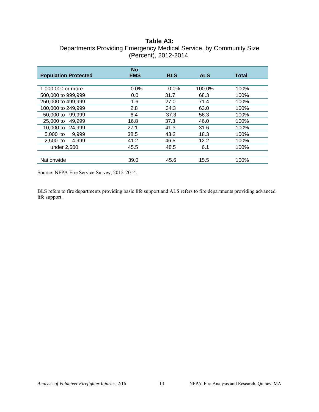## **Table A3:**

<span id="page-14-0"></span>

| Departments Providing Emergency Medical Service, by Community Size |
|--------------------------------------------------------------------|
| (Percent), 2012-2014.                                              |

|                             | <b>No</b>  |            |            |       |
|-----------------------------|------------|------------|------------|-------|
| <b>Population Protected</b> | <b>EMS</b> | <b>BLS</b> | <b>ALS</b> | Total |
|                             |            |            |            |       |
| 1,000,000 or more           | 0.0%       | 0.0%       | 100.0%     | 100%  |
| 500,000 to 999,999          | 0.0        | 31.7       | 68.3       | 100%  |
| 250,000 to 499,999          | 1.6        | 27.0       | 71.4       | 100%  |
| 100,000 to 249,999          | 2.8        | 34.3       | 63.0       | 100%  |
| 50,000 to 99,999            | 6.4        | 37.3       | 56.3       | 100%  |
| 25,000 to<br>49.999         | 16.8       | 37.3       | 46.0       | 100%  |
| 10,000 to<br>24.999         | 27.1       | 41.3       | 31.6       | 100%  |
| 5,000 to<br>9.999           | 38.5       | 43.2       | 18.3       | 100%  |
| $2.500$ to<br>4.999         | 41.2       | 46.5       | 12.2       | 100%  |
| under 2,500                 | 45.5       | 48.5       | 6.1        | 100%  |
|                             |            |            |            |       |
| Nationwide                  | 39.0       | 45.6       | 15.5       | 100%  |

Source: NFPA Fire Service Survey, 2012-2014.

BLS refers to fire departments providing basic life support and ALS refers to fire departments providing advanced life support.